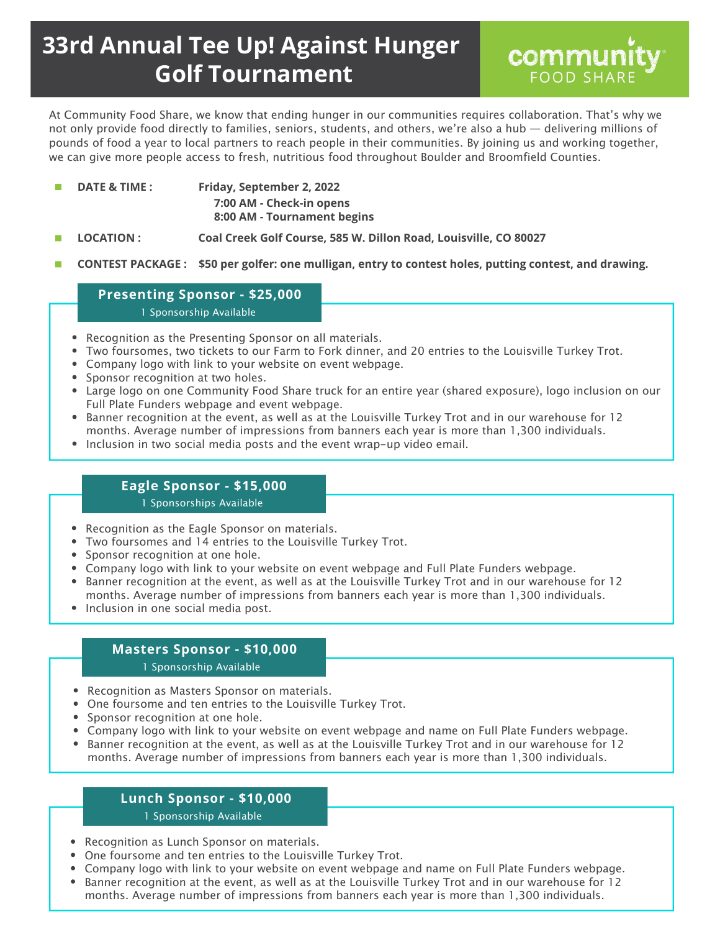# **33rd Annual Tee Up! Against Hunger Golf Tournament**



At Community Food Share, we know that ending hunger in our communities requires collaboration. That's why we not only provide food directly to families, seniors, students, and others, we're also a hub — delivering millions of pounds of food a year to local partners to reach people in their communities. By joining us and working together, we can give more people access to fresh, nutritious food throughout Boulder and Broomfield Counties.

- **DATE & TIME : Friday, September 2, 2022** m, **7:00 AM - Check-in opens 8:00 AM - Tournament begins**
- **LOCATION : Coal Creek Golf Course, 585 W. Dillon Road, Louisville, CO 80027** П
- п **CONTEST PACKAGE : \$50 per golfer: one mulligan, entry to contest holes, putting contest, and drawing.**

## **Presenting Sponsor - \$25,000**

1 Sponsorship Available

- Recognition as the Presenting Sponsor on all materials.
- Two foursomes, two tickets to our Farm to Fork dinner, and 20 entries to the Louisville Turkey Trot.
- Company logo with link to your website on event webpage.
- Sponsor recognition at two holes.
- Large logo on one Community Food Share truck for an entire year (shared exposure), logo inclusion on our Full Plate Funders webpage and event webpage.
- Banner recognition at the event, as well as at the Louisville Turkey Trot and in our warehouse for 12 months. Average number of impressions from banners each year is more than 1,300 individuals.
- Inclusion in two social media posts and the event wrap-up video email.

# **Eagle Sponsor - \$15,000**

#### 1 Sponsorships Available

- Recognition as the Eagle Sponsor on materials.
- Two foursomes and 14 entries to the Louisville Turkey Trot.
- Sponsor recognition at one hole.
- Company logo with link to your website on event webpage and Full Plate Funders webpage.
- Banner recognition at the event, as well as at the Louisville Turkey Trot and in our warehouse for 12 months. Average number of impressions from banners each year is more than 1,300 individuals.
- Inclusion in one social media post.

## **Masters Sponsor - \$10,000**

#### 1 Sponsorship Available

- Recognition as Masters Sponsor on materials.
- One foursome and ten entries to the Louisville Turkey Trot.
- Sponsor recognition at one hole.
- Company logo with link to your website on event webpage and name on Full Plate Funders webpage.
- Banner recognition at the event, as well as at the Louisville Turkey Trot and in our warehouse for 12  $\bullet$ months. Average number of impressions from banners each year is more than 1,300 individuals.

# **Lunch Sponsor - \$10,000**

1 Sponsorship Available

- Recognition as Lunch Sponsor on materials.
- One foursome and ten entries to the Louisville Turkey Trot.
- Company logo with link to your website on event webpage and name on Full Plate Funders webpage.
- Banner recognition at the event, as well as at the Louisville Turkey Trot and in our warehouse for 12 months. Average number of impressions from banners each year is more than 1,300 individuals.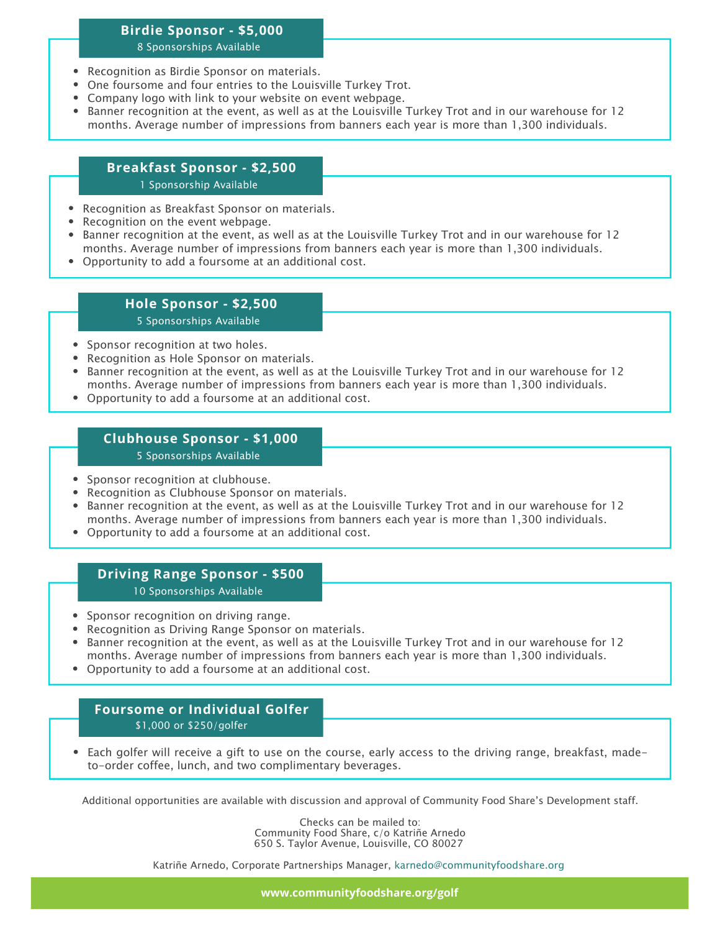# **Birdie Sponsor - \$5,000**

#### 8 Sponsorships Available

- Recognition as Birdie Sponsor on materials.
- One foursome and four entries to the Louisville Turkey Trot.
- Company logo with link to your website on event webpage.
- Banner recognition at the event, as well as at the Louisville Turkey Trot and in our warehouse for 12 months. Average number of impressions from banners each year is more than 1,300 individuals.

## **Breakfast Sponsor - \$2,500**

1 Sponsorship Available

- Recognition as Breakfast Sponsor on materials.
- Recognition on the event webpage.
- Banner recognition at the event, as well as at the Louisville Turkey Trot and in our warehouse for 12 months. Average number of impressions from banners each year is more than 1,300 individuals.
- Opportunity to add a foursome at an additional cost.

#### **Hole Sponsor - \$2,500** 5 Sponsorships Available

- Sponsor recognition at two holes.
- Recognition as Hole Sponsor on materials.
- Banner recognition at the event, as well as at the Louisville Turkey Trot and in our warehouse for 12 months. Average number of impressions from banners each year is more than 1,300 individuals.
- Opportunity to add a foursome at an additional cost.

## **Clubhouse Sponsor - \$1,000**

5 Sponsorships Available

- Sponsor recognition at clubhouse.
- Recognition as Clubhouse Sponsor on materials.
- Banner recognition at the event, as well as at the Louisville Turkey Trot and in our warehouse for 12 months. Average number of impressions from banners each year is more than 1,300 individuals.
- Opportunity to add a foursome at an additional cost.

## **Driving Range Sponsor - \$500**

10 Sponsorships Available

- Sponsor recognition on driving range.
- Recognition as Driving Range Sponsor on materials.
- Banner recognition at the event, as well as at the Louisville Turkey Trot and in our warehouse for 12 months. Average number of impressions from banners each year is more than 1,300 individuals.
- Opportunity to add a foursome at an additional cost.

### **Foursome or Individual Golfer** \$1,000 or \$250/golfer

Each golfer will receive a gift to use on the course, early access to the driving range, breakfast, madeto-order coffee, lunch, and two complimentary beverages.

Additional opportunities are available with discussion and approval of Community Food Share's Development staff.

Checks can be mailed to: Community Food Share, c/o Katriñe Arnedo 650 S. Taylor Avenue, Louisville, CO 80027

Katriñe Arnedo, Corporate Partnerships Manager, karnedo@communityfoodshare.org

**www.communityfoodshare.org/golf**